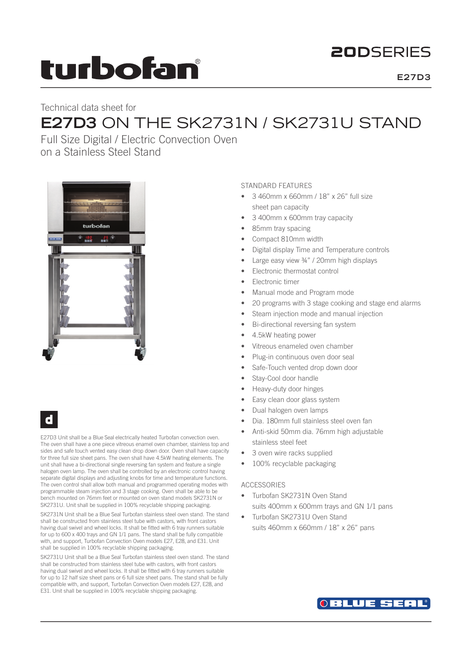# turbofan

# **20DSFRIFS**

# Technical data sheet for **E27D3** ON THE SK2731N / SK2731U STAND

Full Size Digital / Electric Convection Oven on a Stainless Steel Stand



# d

E27D3 Unit shall be a Blue Seal electrically heated Turbofan convection oven. The oven shall have a one piece vitreous enamel oven chamber, stainless top and sides and safe touch vented easy clean drop down door. Oven shall have capacity for three full size sheet pans. The oven shall have 4.5kW heating elements. The unit shall have a bi-directional single reversing fan system and feature a single halogen oven lamp. The oven shall be controlled by an electronic control having separate digital displays and adjusting knobs for time and temperature functions. The oven control shall allow both manual and programmed operating modes with programmable steam injection and 3 stage cooking. Oven shall be able to be bench mounted on 76mm feet or mounted on oven stand models SK2731N or SK2731U. Unit shall be supplied in 100% recyclable shipping packaging.

SK2731N Unit shall be a Blue Seal Turbofan stainless steel oven stand. The stand shall be constructed from stainless steel tube with castors, with front castors having dual swivel and wheel locks. It shall be fitted with 6 tray runners suitable for up to 600 x 400 trays and GN 1/1 pans. The stand shall be fully compatible with, and support, Turbofan Convection Oven models E27, E28, and E31. Unit shall be supplied in 100% recyclable shipping packaging.

SK2731U Unit shall be a Blue Seal Turbofan stainless steel oven stand. The stand shall be constructed from stainless steel tube with castors, with front castors having dual swivel and wheel locks. It shall be fitted with 6 tray runners suitable for up to 12 half size sheet pans or 6 full size sheet pans. The stand shall be fully compatible with, and support, Turbofan Convection Oven models E27, E28, and E31. Unit shall be supplied in 100% recyclable shipping packaging.

## STANDARD FEATURES

- 3 460mm x 660mm / 18" x 26" full size sheet pan capacity
- 3 400mm x 600mm tray capacity
- 85mm tray spacing
- Compact 810mm width
- Digital display Time and Temperature controls
- Large easy view ¾" / 20mm high displays
- Electronic thermostat control
- Electronic timer
- Manual mode and Program mode
- 20 programs with 3 stage cooking and stage end alarms
- Steam injection mode and manual injection
- Bi-directional reversing fan system
- 4.5kW heating power
- Vitreous enameled oven chamber
- Plug-in continuous oven door seal
- Safe-Touch vented drop down door
- Stay-Cool door handle
- Heavy-duty door hinges
- Easy clean door glass system
- Dual halogen oven lamps
- Dia. 180mm full stainless steel oven fan
- Anti-skid 50mm dia. 76mm high adjustable stainless steel feet
- 3 oven wire racks supplied
- 100% recyclable packaging

## ACCESSORIES

- Turbofan SK2731N Oven Stand suits 400mm x 600mm trays and GN 1/1 pans
- Turbofan SK2731U Oven Stand suits 460mm x 660mm / 18" x 26" pans